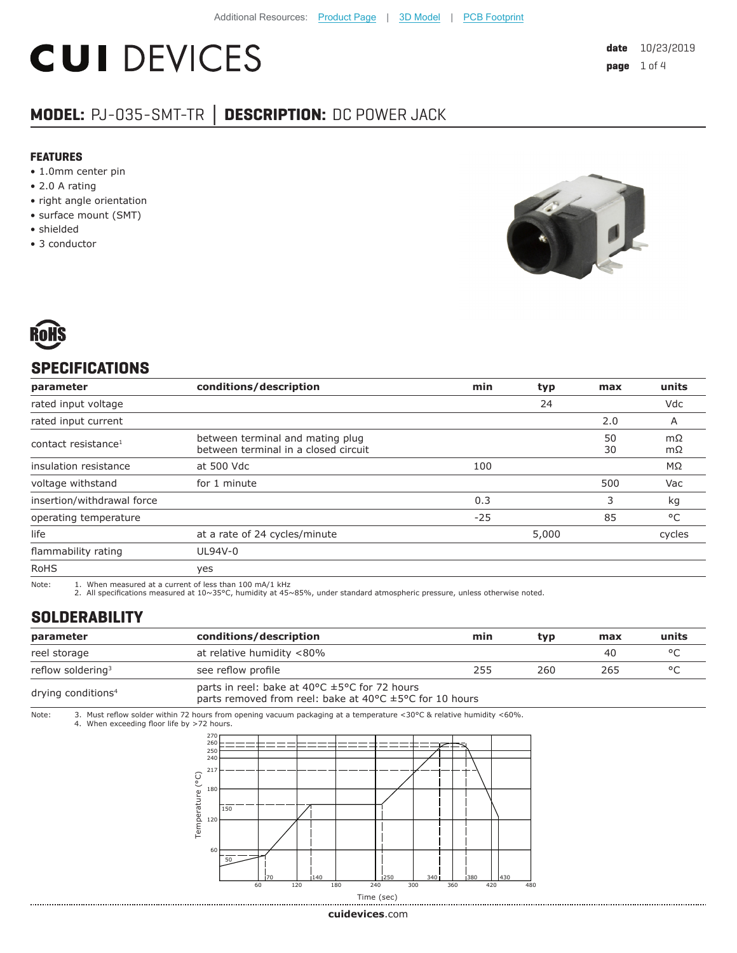# **CUI DEVICES**

### **MODEL:** PJ-035-SMT-TR **│ DESCRIPTION:** DC POWER JACK

#### **FEATURES**

- 1.0mm center pin
- 2.0 A rating
- right angle orientation
- surface mount (SMT)
- shielded
- 3 conductor





#### **SPECIFICATIONS**

| parameter                       | conditions/description                                                   | min   | typ   | max      | units    |
|---------------------------------|--------------------------------------------------------------------------|-------|-------|----------|----------|
| rated input voltage             |                                                                          |       | 24    |          | Vdc      |
| rated input current             |                                                                          |       |       | 2.0      | A        |
| contact resistance <sup>1</sup> | between terminal and mating plug<br>between terminal in a closed circuit |       |       | 50<br>30 | mΩ<br>mΩ |
| insulation resistance           | at 500 Vdc                                                               | 100   |       |          | ΜΩ       |
| voltage withstand               | for 1 minute                                                             |       |       | 500      | Vac      |
| insertion/withdrawal force      |                                                                          | 0.3   |       | 3        | kg       |
| operating temperature           |                                                                          | $-25$ |       | 85       | °C       |
| life                            | at a rate of 24 cycles/minute                                            |       | 5,000 |          | cycles   |
| flammability rating             | UL94V-0                                                                  |       |       |          |          |
| <b>RoHS</b>                     | yes                                                                      |       |       |          |          |

Note: 1. When measured at a current of less than 100 mA/1 kHz

2. All specifications measured at 10~35°C, humidity at 45~85%, under standard atmospheric pressure, unless otherwise noted.

#### **SOLDERABILITY**

| parameter                      | conditions/description                                                                                                            | min | tvp | max | units   |
|--------------------------------|-----------------------------------------------------------------------------------------------------------------------------------|-----|-----|-----|---------|
| reel storage                   | at relative humidity <80%                                                                                                         |     |     | 40  | $\circ$ |
| reflow soldering <sup>3</sup>  | see reflow profile                                                                                                                | 255 | 260 | 265 | $\circ$ |
| drying conditions <sup>4</sup> | parts in reel: bake at 40°C ±5°C for 72 hours<br>parts removed from reel: bake at 40 $\degree$ C $\pm$ 5 $\degree$ C for 10 hours |     |     |     |         |

Note: 3. Must reflow solder within 72 hours from opening vacuum packaging at a temperature <30°C & relative humidity <60%. 4. When exceeding floor life by >72 hours.



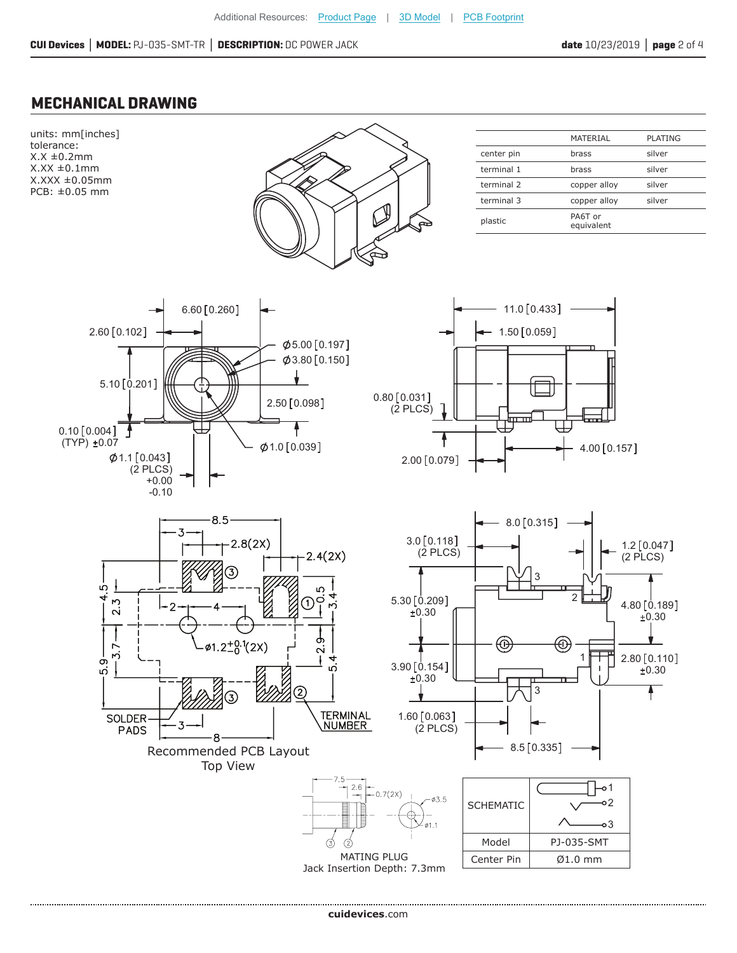#### **MECHANICAL DRAWING**

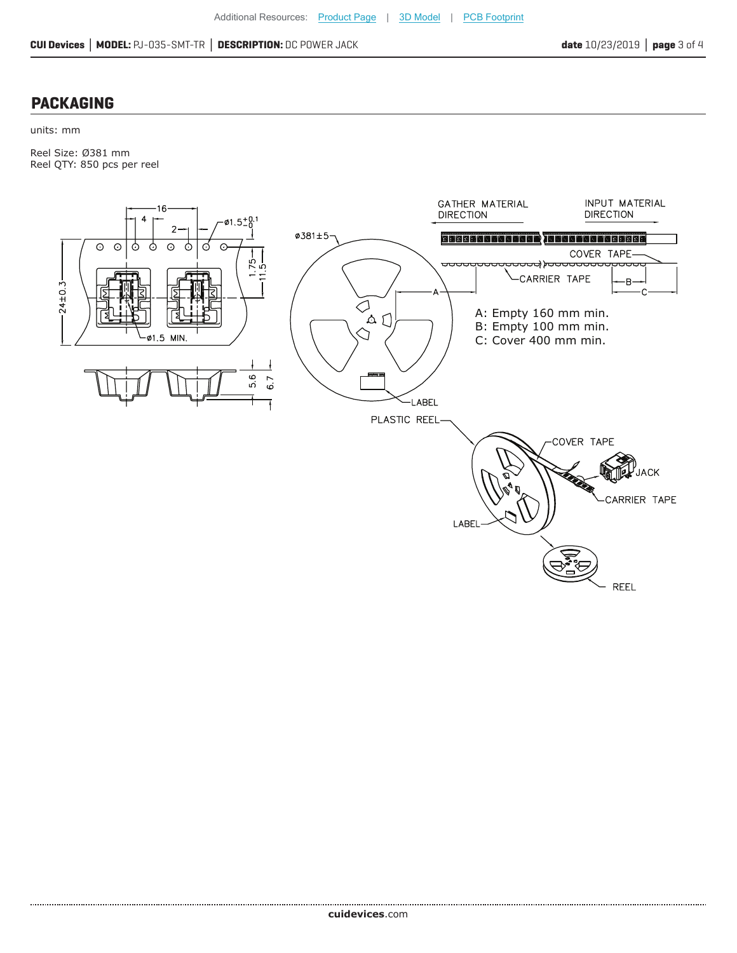#### **PACKAGING**

units: mm

Reel Size: Ø381 mm Reel QTY: 850 pcs per reel